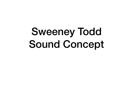## Sweeney Todd Sound Concept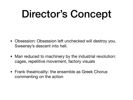### Director's Concept

- Obsession: Obsession left unchecked will destroy you. Sweeney's descent into hell.
- Man reduced to machinery by the industrial revolution: cages, repetitive movement, factory visuals
- Frank theatricality: the ensemble as Greek Chorus commenting on the action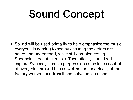## Sound Concept

• Sound will be used primarily to help emphasize the music everyone is coming to see by ensuring the actors are heard and understood, while still complementing Sondheim's beautiful music. Thematically, sound will explore Sweeney's manic progression as he loses control of everything around him as well as the theatrically of the factory workers and transitions between locations.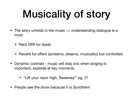# Musicality of story

- The story unfolds in the music -> understanding dialogue is a must
	- Rent DPA for leads
	- Reverb for effect (screams, dreams, musicality) but controlled
- Dynamic contrast music will stay low when singing is important, explode at key moments
	- "Lift your razor high, Sweeney!" pg. 21
- People see the show because it is Sondheim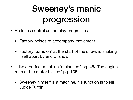### Sweeney's manic progression

- He loses control as the play progresses
	- Factory noises to accompany movement
	- Factory 'turns on' at the start of the show, is shaking itself apart by end of show
- "Like a perfect machine 'e planned" pg. 46/ The engine roared, the motor hissed" pg. 135
	- Sweeney himself is a machine, his function is to kill Judge Turpin